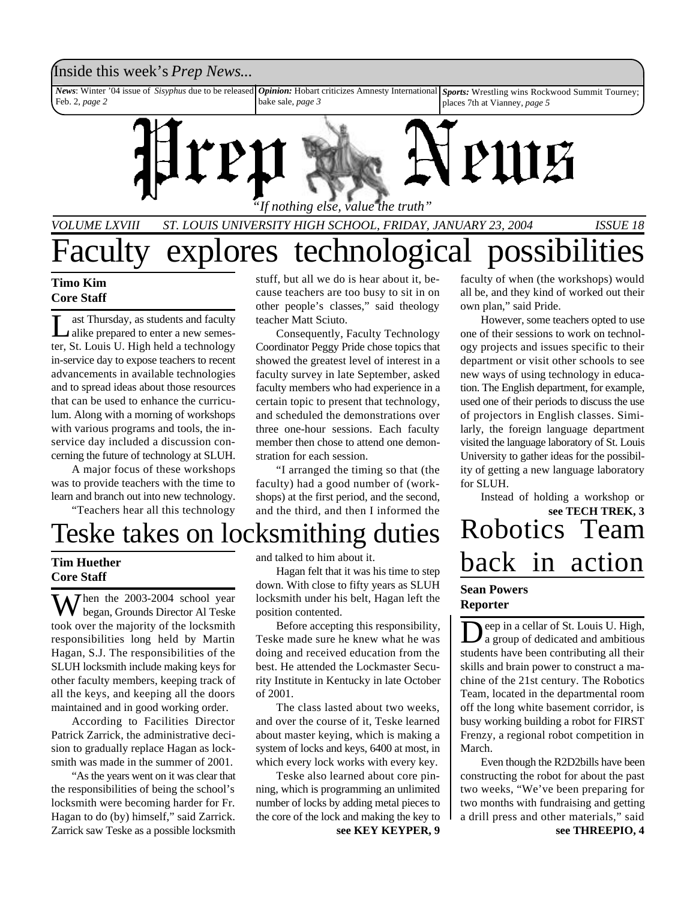### Inside this week's *Prep News*...

*News*: Winter '04 issue of *Sisyphus* due to be released Feb. 2, *page 2 Opinion:* Hobart criticizes Amnesty International bake sale, *page 3 Sports:* Wrestling wins Rockwood Summit Tourney; places 7th at Vianney, *page 5*



*VOLUME LXVIII ST. LOUIS UNIVERSITY HIGH SCHOOL, FRIDAY, JANUARY 23, 2004 ISSUE 18*

# Faculty explores technological possibilities

### **Timo Kim Core Staff**

Laike prepared to enter a new semesast Thursday, as students and faculty ter, St. Louis U. High held a technology in-service day to expose teachers to recent advancements in available technologies and to spread ideas about those resources that can be used to enhance the curriculum. Along with a morning of workshops with various programs and tools, the inservice day included a discussion concerning the future of technology at SLUH.

A major focus of these workshops was to provide teachers with the time to learn and branch out into new technology.

"Teachers hear all this technology

stuff, but all we do is hear about it, because teachers are too busy to sit in on other people's classes," said theology teacher Matt Sciuto.

Consequently, Faculty Technology Coordinator Peggy Pride chose topics that showed the greatest level of interest in a faculty survey in late September, asked faculty members who had experience in a certain topic to present that technology, and scheduled the demonstrations over three one-hour sessions. Each faculty member then chose to attend one demonstration for each session.

"I arranged the timing so that (the faculty) had a good number of (workshops) at the first period, and the second, and the third, and then I informed the

faculty of when (the workshops) would all be, and they kind of worked out their own plan," said Pride.

However, some teachers opted to use one of their sessions to work on technology projects and issues specific to their department or visit other schools to see new ways of using technology in education. The English department, for example, used one of their periods to discuss the use of projectors in English classes. Similarly, the foreign language department visited the language laboratory of St. Louis University to gather ideas for the possibility of getting a new language laboratory for SLUH.

**see TECH TREK, 3** Instead of holding a workshop or

## Teske takes on locksmithing duties

### **Tim Huether Core Staff**

 $\sum$  *T* hen the 2003-2004 school year began, Grounds Director Al Teske took over the majority of the locksmith responsibilities long held by Martin Hagan, S.J. The responsibilities of the SLUH locksmith include making keys for other faculty members, keeping track of all the keys, and keeping all the doors maintained and in good working order.

According to Facilities Director Patrick Zarrick, the administrative decision to gradually replace Hagan as locksmith was made in the summer of 2001.

"As the years went on it was clear that the responsibilities of being the school's locksmith were becoming harder for Fr. Hagan to do (by) himself," said Zarrick. Zarrick saw Teske as a possible locksmith

and talked to him about it.

Hagan felt that it was his time to step down. With close to fifty years as SLUH locksmith under his belt, Hagan left the position contented.

Before accepting this responsibility, Teske made sure he knew what he was doing and received education from the best. He attended the Lockmaster Security Institute in Kentucky in late October of 2001.

The class lasted about two weeks, and over the course of it, Teske learned about master keying, which is making a system of locks and keys, 6400 at most, in which every lock works with every key.

Teske also learned about core pinning, which is programming an unlimited number of locks by adding metal pieces to the core of the lock and making the key to

**see KEY KEYPER, 9**

# Robotics Team back in action

### **Sean Powers Reporter**

Deep in a cellar of St. Louis U. High,<br>a group of dedicated and ambitious eep in a cellar of St. Louis U. High, students have been contributing all their skills and brain power to construct a machine of the 21st century. The Robotics Team, located in the departmental room off the long white basement corridor, is busy working building a robot for FIRST Frenzy, a regional robot competition in March.

**see THREEPIO, 4** Even though the R2D2bills have been constructing the robot for about the past two weeks, "We've been preparing for two months with fundraising and getting a drill press and other materials," said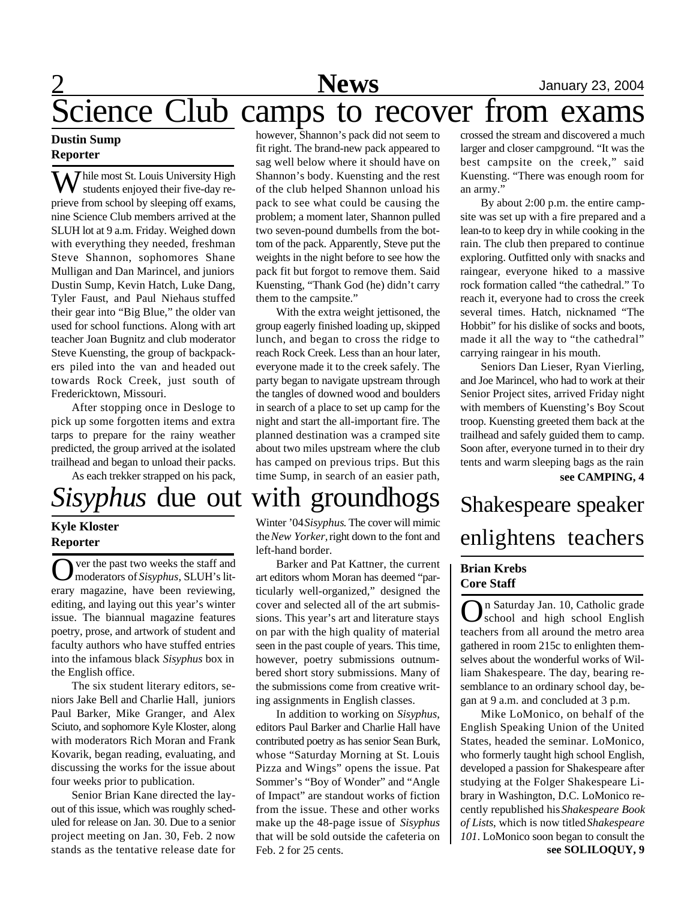# Science Club camps to recover from exams

### **Dustin Sump Reporter**

**Thile most St. Louis University High** students enjoyed their five-day reprieve from school by sleeping off exams, nine Science Club members arrived at the SLUH lot at 9 a.m. Friday. Weighed down with everything they needed, freshman Steve Shannon, sophomores Shane Mulligan and Dan Marincel, and juniors Dustin Sump, Kevin Hatch, Luke Dang, Tyler Faust, and Paul Niehaus stuffed their gear into "Big Blue," the older van used for school functions. Along with art teacher Joan Bugnitz and club moderator Steve Kuensting, the group of backpackers piled into the van and headed out towards Rock Creek, just south of Fredericktown, Missouri.

After stopping once in Desloge to pick up some forgotten items and extra tarps to prepare for the rainy weather predicted, the group arrived at the isolated trailhead and began to unload their packs.

As each trekker strapped on his pack,

# *Sisyphus* due out with groundhogs

### **Kyle Kloster Reporter**

O ver the past two weeks the staff and moderators of *Sisyphus*, SLUH's literary magazine, have been reviewing, editing, and laying out this year's winter issue. The biannual magazine features poetry, prose, and artwork of student and faculty authors who have stuffed entries into the infamous black *Sisyphus* box in the English office.

The six student literary editors, seniors Jake Bell and Charlie Hall, juniors Paul Barker, Mike Granger, and Alex Sciuto, and sophomore Kyle Kloster, along with moderators Rich Moran and Frank Kovarik, began reading, evaluating, and discussing the works for the issue about four weeks prior to publication.

Senior Brian Kane directed the layout of this issue, which was roughly scheduled for release on Jan. 30. Due to a senior project meeting on Jan. 30, Feb. 2 now stands as the tentative release date for

however, Shannon's pack did not seem to fit right. The brand-new pack appeared to sag well below where it should have on Shannon's body. Kuensting and the rest of the club helped Shannon unload his pack to see what could be causing the problem; a moment later, Shannon pulled two seven-pound dumbells from the bottom of the pack. Apparently, Steve put the weights in the night before to see how the pack fit but forgot to remove them. Said Kuensting, "Thank God (he) didn't carry them to the campsite."

With the extra weight jettisoned, the group eagerly finished loading up, skipped lunch, and began to cross the ridge to reach Rock Creek. Less than an hour later, everyone made it to the creek safely. The party began to navigate upstream through the tangles of downed wood and boulders in search of a place to set up camp for the night and start the all-important fire. The planned destination was a cramped site about two miles upstream where the club has camped on previous trips. But this time Sump, in search of an easier path,

Winter '04 *Sisyphus*. The cover will mimic the *New Yorker,* right down to the font and left-hand border.

Barker and Pat Kattner, the current art editors whom Moran has deemed "particularly well-organized," designed the cover and selected all of the art submissions. This year's art and literature stays on par with the high quality of material seen in the past couple of years. This time, however, poetry submissions outnumbered short story submissions. Many of the submissions come from creative writing assignments in English classes.

In addition to working on *Sisyphus*, editors Paul Barker and Charlie Hall have contributed poetry as has senior Sean Burk, whose "Saturday Morning at St. Louis Pizza and Wings" opens the issue. Pat Sommer's "Boy of Wonder" and "Angle of Impact" are standout works of fiction from the issue. These and other works make up the 48-page issue of *Sisyphus* that will be sold outside the cafeteria on Feb. 2 for 25 cents.

crossed the stream and discovered a much larger and closer campground. "It was the best campsite on the creek," said Kuensting. "There was enough room for an army."

By about 2:00 p.m. the entire campsite was set up with a fire prepared and a lean-to to keep dry in while cooking in the rain. The club then prepared to continue exploring. Outfitted only with snacks and raingear, everyone hiked to a massive rock formation called "the cathedral." To reach it, everyone had to cross the creek several times. Hatch, nicknamed "The Hobbit" for his dislike of socks and boots, made it all the way to "the cathedral" carrying raingear in his mouth.

Seniors Dan Lieser, Ryan Vierling, and Joe Marincel, who had to work at their Senior Project sites, arrived Friday night with members of Kuensting's Boy Scout troop. Kuensting greeted them back at the trailhead and safely guided them to camp. Soon after, everyone turned in to their dry tents and warm sleeping bags as the rain **see CAMPING, 4**

Shakespeare speaker enlightens teachers

### **Brian Krebs Core Staff**

O school and high school English n Saturday Jan. 10, Catholic grade teachers from all around the metro area gathered in room 215c to enlighten themselves about the wonderful works of William Shakespeare. The day, bearing resemblance to an ordinary school day, began at 9 a.m. and concluded at 3 p.m.

**see SOLILOQUY, 9** Mike LoMonico, on behalf of the English Speaking Union of the United States, headed the seminar. LoMonico, who formerly taught high school English, developed a passion for Shakespeare after studying at the Folger Shakespeare Library in Washington, D.C. LoMonico recently republished his *Shakespeare Book of Lists*, which is now titled *Shakespeare 101*. LoMonico soon began to consult the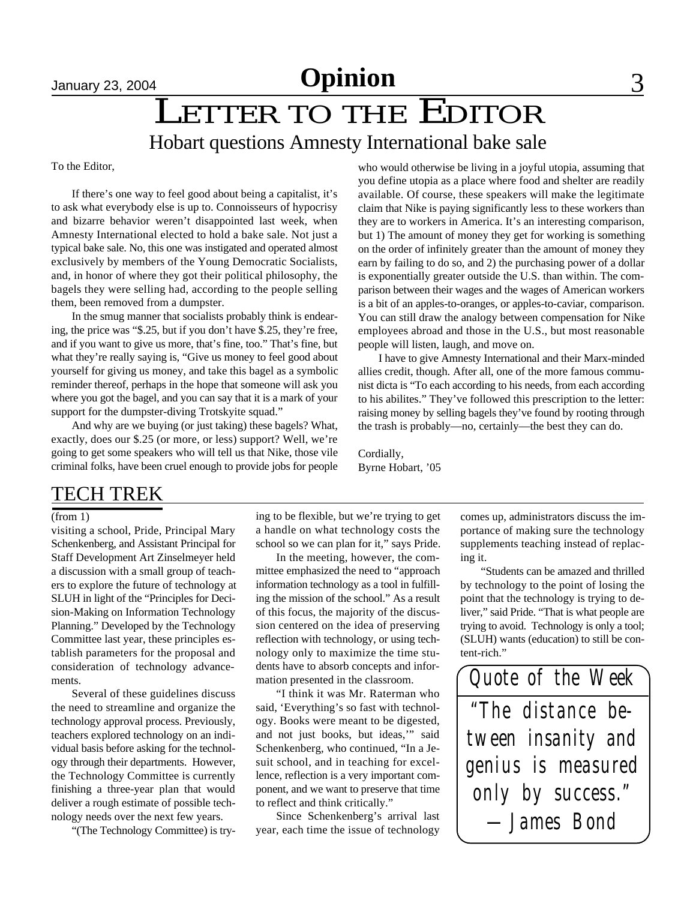# January 23, 2004 **Opinion** 3

# January 23, 2004<br> **LETTER TO THE EDITOR** Hobart questions Amnesty International bake sale

To the Editor,

If there's one way to feel good about being a capitalist, it's to ask what everybody else is up to. Connoisseurs of hypocrisy and bizarre behavior weren't disappointed last week, when Amnesty International elected to hold a bake sale. Not just a typical bake sale. No, this one was instigated and operated almost exclusively by members of the Young Democratic Socialists, and, in honor of where they got their political philosophy, the bagels they were selling had, according to the people selling them, been removed from a dumpster.

In the smug manner that socialists probably think is endearing, the price was "\$.25, but if you don't have \$.25, they're free, and if you want to give us more, that's fine, too." That's fine, but what they're really saying is, "Give us money to feel good about yourself for giving us money, and take this bagel as a symbolic reminder thereof, perhaps in the hope that someone will ask you where you got the bagel, and you can say that it is a mark of your support for the dumpster-diving Trotskyite squad."

And why are we buying (or just taking) these bagels? What, exactly, does our \$.25 (or more, or less) support? Well, we're going to get some speakers who will tell us that Nike, those vile criminal folks, have been cruel enough to provide jobs for people who would otherwise be living in a joyful utopia, assuming that you define utopia as a place where food and shelter are readily available. Of course, these speakers will make the legitimate claim that Nike is paying significantly less to these workers than they are to workers in America. It's an interesting comparison, but 1) The amount of money they get for working is something on the order of infinitely greater than the amount of money they earn by failing to do so, and 2) the purchasing power of a dollar is exponentially greater outside the U.S. than within. The comparison between their wages and the wages of American workers is a bit of an apples-to-oranges, or apples-to-caviar, comparison. You can still draw the analogy between compensation for Nike employees abroad and those in the U.S., but most reasonable people will listen, laugh, and move on.

I have to give Amnesty International and their Marx-minded allies credit, though. After all, one of the more famous communist dicta is "To each according to his needs, from each according to his abilites." They've followed this prescription to the letter: raising money by selling bagels they've found by rooting through the trash is probably—no, certainly—the best they can do.

Cordially, Byrne Hobart, '05

### TECH TREK

#### (from 1)

visiting a school, Pride, Principal Mary Schenkenberg, and Assistant Principal for Staff Development Art Zinselmeyer held a discussion with a small group of teachers to explore the future of technology at SLUH in light of the "Principles for Decision-Making on Information Technology Planning." Developed by the Technology Committee last year, these principles establish parameters for the proposal and consideration of technology advancements.

Several of these guidelines discuss the need to streamline and organize the technology approval process. Previously, teachers explored technology on an individual basis before asking for the technology through their departments. However, the Technology Committee is currently finishing a three-year plan that would deliver a rough estimate of possible technology needs over the next few years.

"(The Technology Committee) is try-

ing to be flexible, but we're trying to get a handle on what technology costs the school so we can plan for it," says Pride.

In the meeting, however, the committee emphasized the need to "approach information technology as a tool in fulfilling the mission of the school." As a result of this focus, the majority of the discussion centered on the idea of preserving reflection with technology, or using technology only to maximize the time students have to absorb concepts and information presented in the classroom.

"I think it was Mr. Raterman who said, 'Everything's so fast with technology. Books were meant to be digested, and not just books, but ideas,'" said Schenkenberg, who continued, "In a Jesuit school, and in teaching for excellence, reflection is a very important component, and we want to preserve that time to reflect and think critically."

Since Schenkenberg's arrival last year, each time the issue of technology

comes up, administrators discuss the importance of making sure the technology supplements teaching instead of replacing it.

"Students can be amazed and thrilled by technology to the point of losing the point that the technology is trying to deliver," said Pride. "That is what people are trying to avoid. Technology is only a tool; (SLUH) wants (education) to still be content-rich."

*"The distance between insanity and genius is measured only by success." Quote of the Week —James Bond*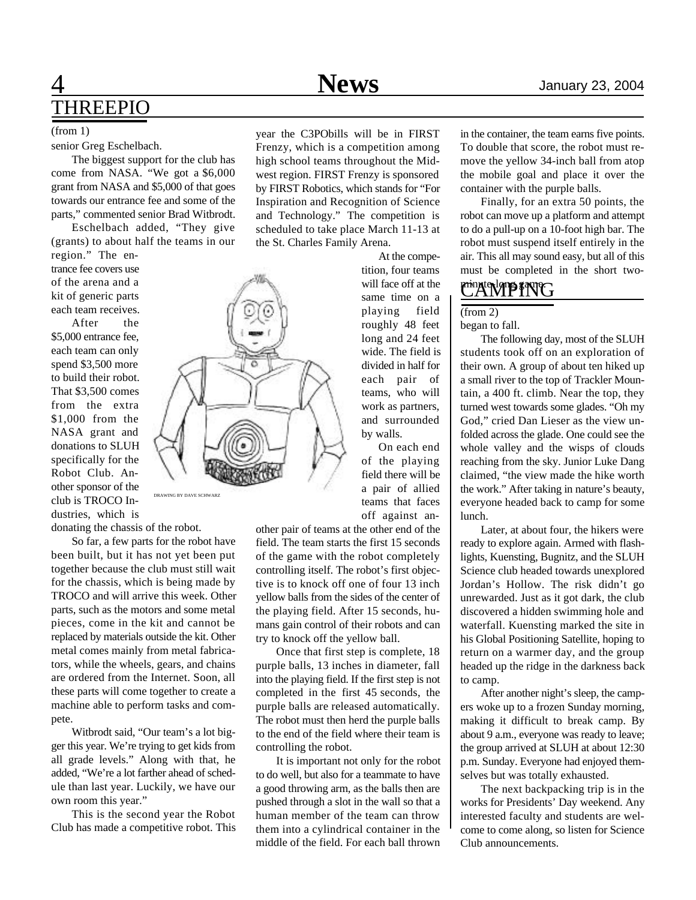### 4 **News** January 23, 2004 THREEPIO

#### (from 1)

#### senior Greg Eschelbach.

The biggest support for the club has come from NASA. "We got a \$6,000 grant from NASA and \$5,000 of that goes towards our entrance fee and some of the parts," commented senior Brad Witbrodt.

Eschelbach added, "They give (grants) to about half the teams in our region." The en-

trance fee covers use of the arena and a kit of generic parts each team receives.

After the \$5,000 entrance fee, each team can only spend \$3,500 more to build their robot. That \$3,500 comes from the extra \$1,000 from the NASA grant and donations to SLUH specifically for the Robot Club. Another sponsor of the club is TROCO Industries, which is

donating the chassis of the robot.

So far, a few parts for the robot have been built, but it has not yet been put together because the club must still wait for the chassis, which is being made by TROCO and will arrive this week. Other parts, such as the motors and some metal pieces, come in the kit and cannot be replaced by materials outside the kit. Other metal comes mainly from metal fabricators, while the wheels, gears, and chains are ordered from the Internet. Soon, all these parts will come together to create a machine able to perform tasks and compete.

Witbrodt said, "Our team's a lot bigger this year. We're trying to get kids from all grade levels." Along with that, he added, "We're a lot farther ahead of schedule than last year. Luckily, we have our own room this year."

This is the second year the Robot Club has made a competitive robot. This

year the C3PObills will be in FIRST Frenzy, which is a competition among high school teams throughout the Midwest region. FIRST Frenzy is sponsored by FIRST Robotics, which stands for "For Inspiration and Recognition of Science and Technology." The competition is scheduled to take place March 11-13 at the St. Charles Family Arena.

> At the competition, four teams will face off at the same time on a playing field roughly 48 feet long and 24 feet wide. The field is divided in half for each pair of teams, who will work as partners, and surrounded by walls.

On each end of the playing field there will be a pair of allied teams that faces off against an-

other pair of teams at the other end of the field. The team starts the first 15 seconds of the game with the robot completely controlling itself. The robot's first objective is to knock off one of four 13 inch yellow balls from the sides of the center of the playing field. After 15 seconds, humans gain control of their robots and can try to knock off the yellow ball.

Once that first step is complete, 18 purple balls, 13 inches in diameter, fall into the playing field. If the first step is not completed in the first 45 seconds, the purple balls are released automatically. The robot must then herd the purple balls to the end of the field where their team is controlling the robot.

It is important not only for the robot to do well, but also for a teammate to have a good throwing arm, as the balls then are pushed through a slot in the wall so that a human member of the team can throw them into a cylindrical container in the middle of the field. For each ball thrown

in the container, the team earns five points. To double that score, the robot must remove the yellow 34-inch ball from atop the mobile goal and place it over the container with the purple balls.

Finally, for an extra 50 points, the robot can move up a platform and attempt to do a pull-up on a 10-foot high bar. The robot must suspend itself entirely in the air. This all may sound easy, but all of this must be completed in the short two-

### minuteNTPING

#### $(from 2)$

began to fall.

The following day, most of the SLUH students took off on an exploration of their own. A group of about ten hiked up a small river to the top of Trackler Mountain, a 400 ft. climb. Near the top, they turned west towards some glades. "Oh my God," cried Dan Lieser as the view unfolded across the glade. One could see the whole valley and the wisps of clouds reaching from the sky. Junior Luke Dang claimed, "the view made the hike worth the work." After taking in nature's beauty, everyone headed back to camp for some lunch.

Later, at about four, the hikers were ready to explore again. Armed with flashlights, Kuensting, Bugnitz, and the SLUH Science club headed towards unexplored Jordan's Hollow. The risk didn't go unrewarded. Just as it got dark, the club discovered a hidden swimming hole and waterfall. Kuensting marked the site in his Global Positioning Satellite, hoping to return on a warmer day, and the group headed up the ridge in the darkness back to camp.

After another night's sleep, the campers woke up to a frozen Sunday morning, making it difficult to break camp. By about 9 a.m., everyone was ready to leave; the group arrived at SLUH at about 12:30 p.m. Sunday. Everyone had enjoyed themselves but was totally exhausted.

The next backpacking trip is in the works for Presidents' Day weekend. Any interested faculty and students are welcome to come along, so listen for Science Club announcements.

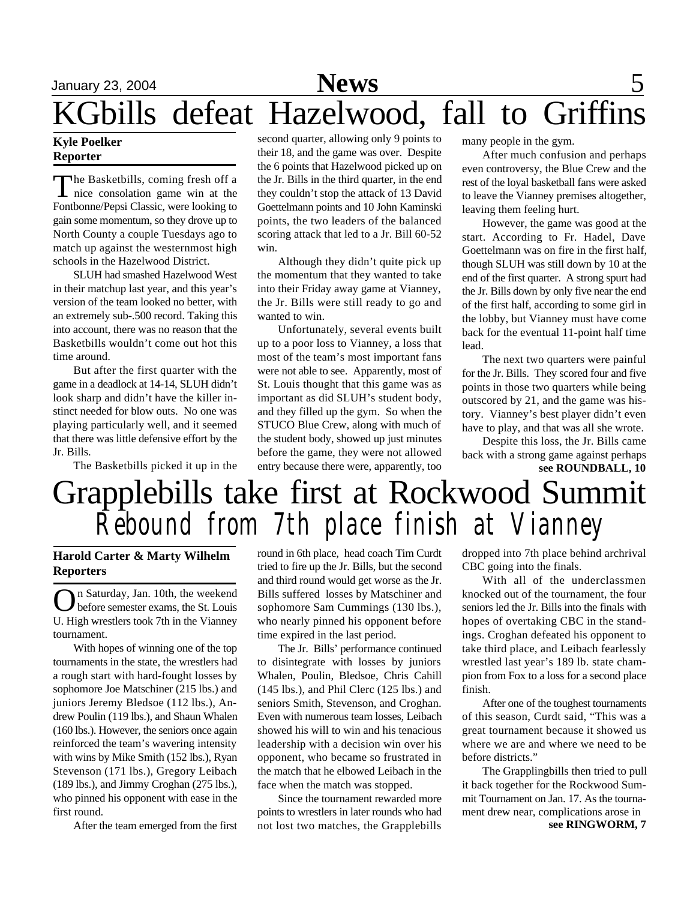# January 23, 2004 **News** 5 KGbills defeat Hazelwood, fall to Griffins

### **Kyle Poelker Reporter**

The Basketbills, coming fresh off a<br>nice consolation game win at the he Basketbills, coming fresh off a Fontbonne/Pepsi Classic, were looking to gain some momentum, so they drove up to North County a couple Tuesdays ago to match up against the westernmost high schools in the Hazelwood District.

SLUH had smashed Hazelwood West in their matchup last year, and this year's version of the team looked no better, with an extremely sub-.500 record. Taking this into account, there was no reason that the Basketbills wouldn't come out hot this time around.

But after the first quarter with the game in a deadlock at 14-14, SLUH didn't look sharp and didn't have the killer instinct needed for blow outs. No one was playing particularly well, and it seemed that there was little defensive effort by the Jr. Bills.

The Basketbills picked it up in the

second quarter, allowing only 9 points to their 18, and the game was over. Despite the 6 points that Hazelwood picked up on the Jr. Bills in the third quarter, in the end they couldn't stop the attack of 13 David Goettelmann points and 10 John Kaminski points, the two leaders of the balanced scoring attack that led to a Jr. Bill 60-52 win.

Although they didn't quite pick up the momentum that they wanted to take into their Friday away game at Vianney, the Jr. Bills were still ready to go and wanted to win.

Unfortunately, several events built up to a poor loss to Vianney, a loss that most of the team's most important fans were not able to see. Apparently, most of St. Louis thought that this game was as important as did SLUH's student body, and they filled up the gym. So when the STUCO Blue Crew, along with much of the student body, showed up just minutes before the game, they were not allowed entry because there were, apparently, too many people in the gym.

After much confusion and perhaps even controversy, the Blue Crew and the rest of the loyal basketball fans were asked to leave the Vianney premises altogether, leaving them feeling hurt.

However, the game was good at the start. According to Fr. Hadel, Dave Goettelmann was on fire in the first half, though SLUH was still down by 10 at the end of the first quarter. A strong spurt had the Jr. Bills down by only five near the end of the first half, according to some girl in the lobby, but Vianney must have come back for the eventual 11-point half time lead.

The next two quarters were painful for the Jr. Bills. They scored four and five points in those two quarters while being outscored by 21, and the game was history. Vianney's best player didn't even have to play, and that was all she wrote.

**see ROUNDBALL, 10** Despite this loss, the Jr. Bills came back with a strong game against perhaps

# Grapplebills take first at Rockwood Summit *Rebound from 7th place finish at Vianney*

### **Harold Carter & Marty Wilhelm Reporters**

O n Saturday, Jan. 10th, the weekend before semester exams, the St. Louis U. High wrestlers took 7th in the Vianney tournament.

With hopes of winning one of the top tournaments in the state, the wrestlers had a rough start with hard-fought losses by sophomore Joe Matschiner (215 lbs.) and juniors Jeremy Bledsoe (112 lbs.), Andrew Poulin (119 lbs.), and Shaun Whalen (160 lbs.). However, the seniors once again reinforced the team's wavering intensity with wins by Mike Smith (152 lbs.), Ryan Stevenson (171 lbs.), Gregory Leibach (189 lbs.), and Jimmy Croghan (275 lbs.), who pinned his opponent with ease in the first round.

After the team emerged from the first

round in 6th place, head coach Tim Curdt tried to fire up the Jr. Bills, but the second and third round would get worse as the Jr. Bills suffered losses by Matschiner and sophomore Sam Cummings (130 lbs.), who nearly pinned his opponent before time expired in the last period.

The Jr. Bills' performance continued to disintegrate with losses by juniors Whalen, Poulin, Bledsoe, Chris Cahill (145 lbs.), and Phil Clerc (125 lbs.) and seniors Smith, Stevenson, and Croghan. Even with numerous team losses, Leibach showed his will to win and his tenacious leadership with a decision win over his opponent, who became so frustrated in the match that he elbowed Leibach in the face when the match was stopped.

Since the tournament rewarded more points to wrestlers in later rounds who had not lost two matches, the Grapplebills

dropped into 7th place behind archrival CBC going into the finals.

With all of the underclassmen knocked out of the tournament, the four seniors led the Jr. Bills into the finals with hopes of overtaking CBC in the standings. Croghan defeated his opponent to take third place, and Leibach fearlessly wrestled last year's 189 lb. state champion from Fox to a loss for a second place finish.

After one of the toughest tournaments of this season, Curdt said, "This was a great tournament because it showed us where we are and where we need to be before districts."

The Grapplingbills then tried to pull it back together for the Rockwood Summit Tournament on Jan. 17. As the tournament drew near, complications arose in

**see RINGWORM, 7**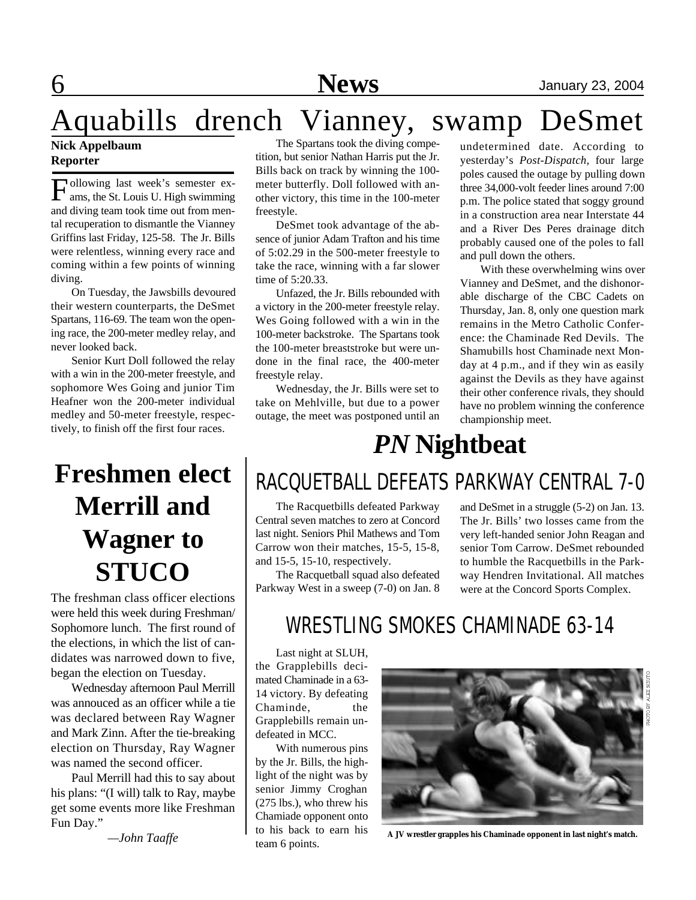# Aquabills drench Vianney, swamp DeSmet

### **Nick Appelbaum Reporter**

F ams, the St. Louis U. High swimming ollowing last week's semester exand diving team took time out from mental recuperation to dismantle the Vianney Griffins last Friday, 125-58. The Jr. Bills were relentless, winning every race and coming within a few points of winning diving.

On Tuesday, the Jawsbills devoured their western counterparts, the DeSmet Spartans, 116-69. The team won the opening race, the 200-meter medley relay, and never looked back.

Senior Kurt Doll followed the relay with a win in the 200-meter freestyle, and sophomore Wes Going and junior Tim Heafner won the 200-meter individual medley and 50-meter freestyle, respectively, to finish off the first four races.

## **Freshmen elect Merrill and Wagner to STUCO**

The freshman class officer elections were held this week during Freshman/ Sophomore lunch. The first round of the elections, in which the list of candidates was narrowed down to five, began the election on Tuesday.

Wednesday afternoon Paul Merrill was annouced as an officer while a tie was declared between Ray Wagner and Mark Zinn. After the tie-breaking election on Thursday, Ray Wagner was named the second officer.

Paul Merrill had this to say about his plans: "(I will) talk to Ray, maybe get some events more like Freshman Fun Day."

*—John Taaffe*

The Spartans took the diving competition, but senior Nathan Harris put the Jr. Bills back on track by winning the 100 meter butterfly. Doll followed with another victory, this time in the 100-meter freestyle.

DeSmet took advantage of the absence of junior Adam Trafton and his time of 5:02.29 in the 500-meter freestyle to take the race, winning with a far slower time of 5:20.33.

Unfazed, the Jr. Bills rebounded with a victory in the 200-meter freestyle relay. Wes Going followed with a win in the 100-meter backstroke. The Spartans took the 100-meter breaststroke but were undone in the final race, the 400-meter freestyle relay.

Wednesday, the Jr. Bills were set to take on Mehlville, but due to a power outage, the meet was postponed until an

undetermined date. According to yesterday's *Post-Dispatch,* four large poles caused the outage by pulling down three 34,000-volt feeder lines around 7:00 p.m. The police stated that soggy ground in a construction area near Interstate 44 and a River Des Peres drainage ditch probably caused one of the poles to fall and pull down the others.

With these overwhelming wins over Vianney and DeSmet, and the dishonorable discharge of the CBC Cadets on Thursday, Jan. 8, only one question mark remains in the Metro Catholic Conference: the Chaminade Red Devils. The Shamubills host Chaminade next Monday at 4 p.m., and if they win as easily against the Devils as they have against their other conference rivals, they should have no problem winning the conference championship meet.

## *PN* **Nightbeat**

## RACQUETBALL DEFEATS PARKWAY CENTRAL 7-0

The Racquetbills defeated Parkway Central seven matches to zero at Concord last night. Seniors Phil Mathews and Tom Carrow won their matches, 15-5, 15-8, and 15-5, 15-10, respectively.

The Racquetball squad also defeated Parkway West in a sweep (7-0) on Jan. 8

and DeSmet in a struggle (5-2) on Jan. 13. The Jr. Bills' two losses came from the very left-handed senior John Reagan and senior Tom Carrow. DeSmet rebounded to humble the Racquetbills in the Parkway Hendren Invitational. All matches were at the Concord Sports Complex.

### WRESTLING SMOKES CHAMINADE 63-14

Last night at SLUH, the Grapplebills decimated Chaminade in a 63- 14 victory. By defeating Chaminde, the Grapplebills remain undefeated in MCC.

With numerous pins by the Jr. Bills, the highlight of the night was by senior Jimmy Croghan (275 lbs.), who threw his Chamiade opponent onto to his back to earn his team 6 points.



**A JV wrestler grapples his Chaminade opponent in last night's match.**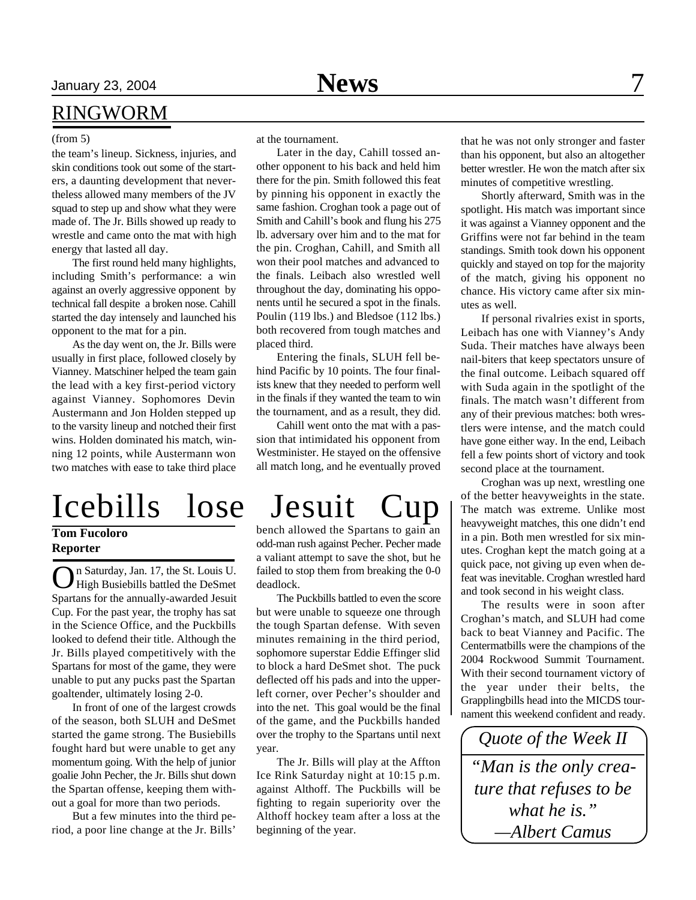### RINGWORM

#### (from 5)

the team's lineup. Sickness, injuries, and skin conditions took out some of the starters, a daunting development that nevertheless allowed many members of the JV squad to step up and show what they were made of. The Jr. Bills showed up ready to wrestle and came onto the mat with high energy that lasted all day.

The first round held many highlights, including Smith's performance: a win against an overly aggressive opponent by technical fall despite a broken nose. Cahill started the day intensely and launched his opponent to the mat for a pin.

As the day went on, the Jr. Bills were usually in first place, followed closely by Vianney. Matschiner helped the team gain the lead with a key first-period victory against Vianney. Sophomores Devin Austermann and Jon Holden stepped up to the varsity lineup and notched their first wins. Holden dominated his match, winning 12 points, while Austermann won two matches with ease to take third place

# Icebills lose Jesuit Cup

### **Tom Fucoloro Reporter**

O n Saturday, Jan. 17, the St. Louis U. High Busiebills battled the DeSmet Spartans for the annually-awarded Jesuit Cup. For the past year, the trophy has sat in the Science Office, and the Puckbills looked to defend their title. Although the Jr. Bills played competitively with the Spartans for most of the game, they were unable to put any pucks past the Spartan goaltender, ultimately losing 2-0.

In front of one of the largest crowds of the season, both SLUH and DeSmet started the game strong. The Busiebills fought hard but were unable to get any momentum going. With the help of junior goalie John Pecher, the Jr. Bills shut down the Spartan offense, keeping them without a goal for more than two periods.

But a few minutes into the third period, a poor line change at the Jr. Bills'

at the tournament.

Later in the day, Cahill tossed another opponent to his back and held him there for the pin. Smith followed this feat by pinning his opponent in exactly the same fashion. Croghan took a page out of Smith and Cahill's book and flung his 275 lb. adversary over him and to the mat for the pin. Croghan, Cahill, and Smith all won their pool matches and advanced to the finals. Leibach also wrestled well throughout the day, dominating his opponents until he secured a spot in the finals. Poulin (119 lbs.) and Bledsoe (112 lbs.) both recovered from tough matches and placed third.

Entering the finals, SLUH fell behind Pacific by 10 points. The four finalists knew that they needed to perform well in the finals if they wanted the team to win the tournament, and as a result, they did.

Cahill went onto the mat with a passion that intimidated his opponent from Westminister. He stayed on the offensive all match long, and he eventually proved

bench allowed the Spartans to gain an odd-man rush against Pecher. Pecher made a valiant attempt to save the shot, but he failed to stop them from breaking the 0-0 deadlock.

The Puckbills battled to even the score but were unable to squeeze one through the tough Spartan defense. With seven minutes remaining in the third period, sophomore superstar Eddie Effinger slid to block a hard DeSmet shot. The puck deflected off his pads and into the upperleft corner, over Pecher's shoulder and into the net. This goal would be the final of the game, and the Puckbills handed over the trophy to the Spartans until next year.

The Jr. Bills will play at the Affton Ice Rink Saturday night at 10:15 p.m. against Althoff. The Puckbills will be fighting to regain superiority over the Althoff hockey team after a loss at the beginning of the year.

that he was not only stronger and faster than his opponent, but also an altogether better wrestler. He won the match after six minutes of competitive wrestling.

Shortly afterward, Smith was in the spotlight. His match was important since it was against a Vianney opponent and the Griffins were not far behind in the team standings. Smith took down his opponent quickly and stayed on top for the majority of the match, giving his opponent no chance. His victory came after six minutes as well.

If personal rivalries exist in sports, Leibach has one with Vianney's Andy Suda. Their matches have always been nail-biters that keep spectators unsure of the final outcome. Leibach squared off with Suda again in the spotlight of the finals. The match wasn't different from any of their previous matches: both wrestlers were intense, and the match could have gone either way. In the end, Leibach fell a few points short of victory and took second place at the tournament.

Croghan was up next, wrestling one of the better heavyweights in the state. The match was extreme. Unlike most heavyweight matches, this one didn't end in a pin. Both men wrestled for six minutes. Croghan kept the match going at a quick pace, not giving up even when defeat was inevitable. Croghan wrestled hard and took second in his weight class.

The results were in soon after Croghan's match, and SLUH had come back to beat Vianney and Pacific. The Centermatbills were the champions of the 2004 Rockwood Summit Tournament. With their second tournament victory of the year under their belts, the Grapplingbills head into the MICDS tournament this weekend confident and ready.

*Quote of the Week II "Man is the only creature that refuses to be what he is." —Albert Camus*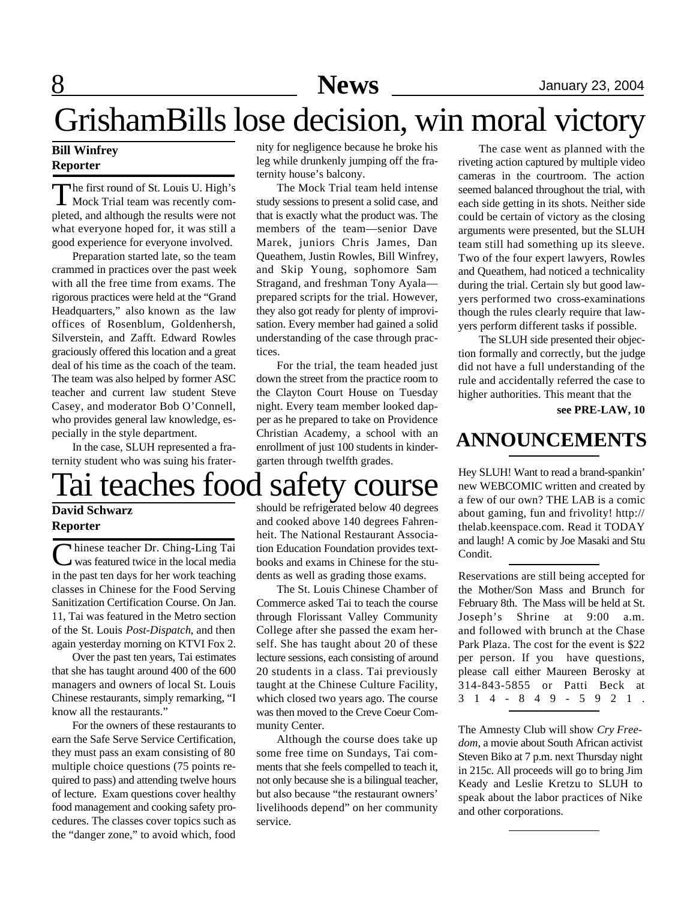# GrishamBills lose decision, win moral victory

### **Bill Winfrey Reporter**

The first round of St. Louis U. High's<br>Mock Trial team was recently com-Mock Trial team was recently completed, and although the results were not what everyone hoped for, it was still a good experience for everyone involved.

Preparation started late, so the team crammed in practices over the past week with all the free time from exams. The rigorous practices were held at the "Grand Headquarters," also known as the law offices of Rosenblum, Goldenhersh, Silverstein, and Zafft. Edward Rowles graciously offered this location and a great deal of his time as the coach of the team. The team was also helped by former ASC teacher and current law student Steve Casey, and moderator Bob O'Connell, who provides general law knowledge, especially in the style department.

In the case, SLUH represented a fraternity student who was suing his frater-

### Tai teaches food safety course Hey SLUH! Want to read a brand-spankin' **David Schwarz**

### **Reporter**

Chinese teacher Dr. Ching-Ling Tai was featured twice in the local media in the past ten days for her work teaching classes in Chinese for the Food Serving Sanitization Certification Course. On Jan. 11, Tai was featured in the Metro section of the St. Louis *Post-Dispatch*, and then again yesterday morning on KTVI Fox 2.

Over the past ten years, Tai estimates that she has taught around 400 of the 600 managers and owners of local St. Louis Chinese restaurants, simply remarking, "I know all the restaurants."

For the owners of these restaurants to earn the Safe Serve Service Certification, they must pass an exam consisting of 80 multiple choice questions (75 points required to pass) and attending twelve hours of lecture. Exam questions cover healthy food management and cooking safety procedures. The classes cover topics such as the "danger zone," to avoid which, food nity for negligence because he broke his leg while drunkenly jumping off the fraternity house's balcony.

The Mock Trial team held intense study sessions to present a solid case, and that is exactly what the product was. The members of the team—senior Dave Marek, juniors Chris James, Dan Queathem, Justin Rowles, Bill Winfrey, and Skip Young, sophomore Sam Stragand, and freshman Tony Ayala prepared scripts for the trial. However, they also got ready for plenty of improvisation. Every member had gained a solid understanding of the case through practices.

For the trial, the team headed just down the street from the practice room to the Clayton Court House on Tuesday night. Every team member looked dapper as he prepared to take on Providence Christian Academy, a school with an enrollment of just 100 students in kindergarten through twelfth grades.

The case went as planned with the riveting action captured by multiple video cameras in the courtroom. The action seemed balanced throughout the trial, with each side getting in its shots. Neither side could be certain of victory as the closing arguments were presented, but the SLUH team still had something up its sleeve. Two of the four expert lawyers, Rowles and Queathem, had noticed a technicality during the trial. Certain sly but good lawyers performed two cross-examinations though the rules clearly require that lawyers perform different tasks if possible.

The SLUH side presented their objection formally and correctly, but the judge did not have a full understanding of the rule and accidentally referred the case to higher authorities. This meant that the

**see PRE-LAW, 10**

### **ANNOUNCEMENTS**

new WEBCOMIC written and created by a few of our own? THE LAB is a comic about gaming, fun and frivolity! http:// thelab.keenspace.com. Read it TODAY and laugh! A comic by Joe Masaki and Stu Condit.

Reservations are still being accepted for the Mother/Son Mass and Brunch for February 8th. The Mass will be held at St. Joseph's Shrine at 9:00 a.m. and followed with brunch at the Chase Park Plaza. The cost for the event is \$22 per person. If you have questions, please call either Maureen Berosky at 314-843-5855 or Patti Beck at 3 1 4 - 8 4 9 - 5 9 2 1 .

The Amnesty Club will show *Cry Freedom*, a movie about South African activist Steven Biko at 7 p.m. next Thursday night in 215c. All proceeds will go to bring Jim Keady and Leslie Kretzu to SLUH to speak about the labor practices of Nike and other corporations.

# should be refrigerated below 40 degrees

and cooked above 140 degrees Fahrenheit. The National Restaurant Association Education Foundation provides textbooks and exams in Chinese for the students as well as grading those exams.

The St. Louis Chinese Chamber of Commerce asked Tai to teach the course through Florissant Valley Community College after she passed the exam herself. She has taught about 20 of these lecture sessions, each consisting of around 20 students in a class. Tai previously taught at the Chinese Culture Facility, which closed two years ago. The course was then moved to the Creve Coeur Community Center.

Although the course does take up some free time on Sundays, Tai comments that she feels compelled to teach it, not only because she is a bilingual teacher, but also because "the restaurant owners' livelihoods depend" on her community service.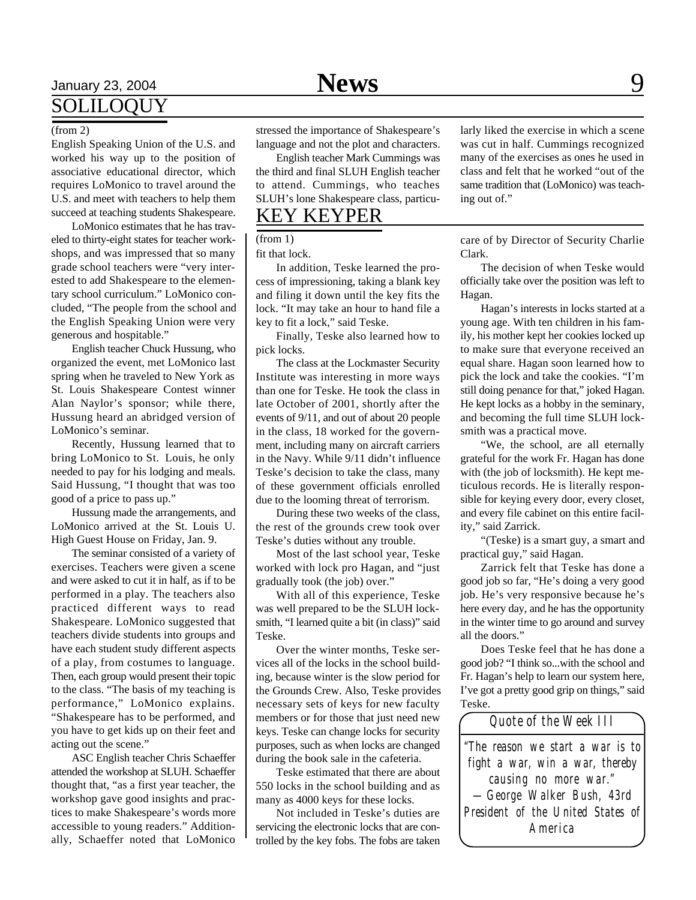### January 23, 2004 **News** 9 SOLILOQUY

#### (from 2)

English Speaking Union of the U.S. and worked his way up to the position of associative educational director, which requires LoMonico to travel around the U.S. and meet with teachers to help them succeed at teaching students Shakespeare.

LoMonico estimates that he has traveled to thirty-eight states for teacher workshops, and was impressed that so many grade school teachers were "very interested to add Shakespeare to the elementary school curriculum." LoMonico concluded, "The people from the school and the English Speaking Union were very generous and hospitable."

English teacher Chuck Hussung, who organized the event, met LoMonico last spring when he traveled to New York as St. Louis Shakespeare Contest winner Alan Naylor's sponsor; while there, Hussung heard an abridged version of LoMonico's seminar.

Recently, Hussung learned that to bring LoMonico to St. Louis, he only needed to pay for his lodging and meals. Said Hussung, "I thought that was too good of a price to pass up."

Hussung made the arrangements, and LoMonico arrived at the St. Louis U. High Guest House on Friday, Jan. 9.

The seminar consisted of a variety of exercises. Teachers were given a scene and were asked to cut it in half, as if to be performed in a play. The teachers also practiced different ways to read Shakespeare. LoMonico suggested that teachers divide students into groups and have each student study different aspects of a play, from costumes to language. Then, each group would present their topic to the class. "The basis of my teaching is performance," LoMonico explains. "Shakespeare has to be performed, and you have to get kids up on their feet and acting out the scene."

ASC English teacher Chris Schaeffer attended the workshop at SLUH. Schaeffer thought that, "as a first year teacher, the workshop gave good insights and practices to make Shakespeare's words more accessible to young readers." Additionally, Schaeffer noted that LoMonico

stressed the importance of Shakespeare's language and not the plot and characters.

English teacher Mark Cummings was the third and final SLUH English teacher to attend. Cummings, who teaches SLUH's lone Shakespeare class, particu-

### KEY KEYPER

(from 1)

fit that lock.

In addition, Teske learned the process of impressioning, taking a blank key and filing it down until the key fits the lock. "It may take an hour to hand file a key to fit a lock," said Teske.

Finally, Teske also learned how to pick locks.

The class at the Lockmaster Security Institute was interesting in more ways than one for Teske. He took the class in late October of 2001, shortly after the events of 9/11, and out of about 20 people in the class, 18 worked for the government, including many on aircraft carriers in the Navy. While 9/11 didn't influence Teske's decision to take the class, many of these government officials enrolled due to the looming threat of terrorism.

During these two weeks of the class, the rest of the grounds crew took over Teske's duties without any trouble.

Most of the last school year, Teske worked with lock pro Hagan, and "just gradually took (the job) over."

With all of this experience, Teske was well prepared to be the SLUH locksmith, "I learned quite a bit (in class)" said Teske.

Over the winter months, Teske services all of the locks in the school building, because winter is the slow period for the Grounds Crew. Also, Teske provides necessary sets of keys for new faculty members or for those that just need new keys. Teske can change locks for security purposes, such as when locks are changed during the book sale in the cafeteria.

Teske estimated that there are about 550 locks in the school building and as many as 4000 keys for these locks.

Not included in Teske's duties are servicing the electronic locks that are controlled by the key fobs. The fobs are taken larly liked the exercise in which a scene was cut in half. Cummings recognized many of the exercises as ones he used in class and felt that he worked "out of the same tradition that (LoMonico) was teaching out of."

care of by Director of Security Charlie Clark.

The decision of when Teske would officially take over the position was left to Hagan.

Hagan's interests in locks started at a young age. With ten children in his family, his mother kept her cookies locked up to make sure that everyone received an equal share. Hagan soon learned how to pick the lock and take the cookies. "I'm still doing penance for that," joked Hagan. He kept locks as a hobby in the seminary, and becoming the full time SLUH locksmith was a practical move.

"We, the school, are all eternally grateful for the work Fr. Hagan has done with (the job of locksmith). He kept meticulous records. He is literally responsible for keying every door, every closet, and every file cabinet on this entire facility," said Zarrick.

"(Teske) is a smart guy, a smart and practical guy," said Hagan.

Zarrick felt that Teske has done a good job so far, "He's doing a very good job. He's very responsive because he's here every day, and he has the opportunity in the winter time to go around and survey all the doors."

Does Teske feel that he has done a good job? "I think so...with the school and Fr. Hagan's help to learn our system here, I've got a pretty good grip on things," said Teske.

*"The reason we start a war is to fight a war, win a war, thereby causing no more war." —George Walker Bush, 43rd President of the United States of America Quote of the Week III*